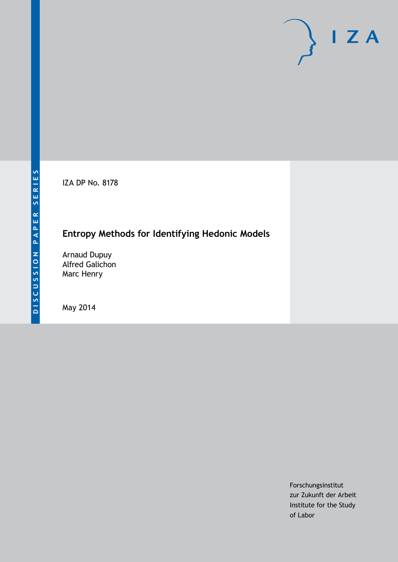IZA DP No. 8178

# **Entropy Methods for Identifying Hedonic Models**

Arnaud Dupuy Alfred Galichon Marc Henry

May 2014

Forschungsinstitut zur Zukunft der Arbeit Institute for the Study of Labor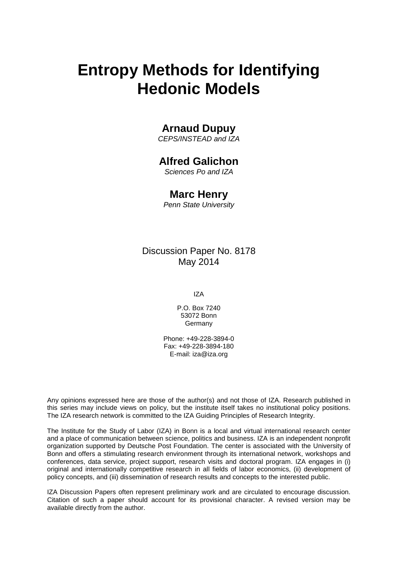# **Entropy Methods for Identifying Hedonic Models**

## **Arnaud Dupuy**

*CEPS/INSTEAD and IZA*

#### **Alfred Galichon**

*Sciences Po and IZA*

## **Marc Henry**

*Penn State University*

### Discussion Paper No. 8178 May 2014

IZA

P.O. Box 7240 53072 Bonn Germany

Phone: +49-228-3894-0 Fax: +49-228-3894-180 E-mail: [iza@iza.org](mailto:iza@iza.org)

Any opinions expressed here are those of the author(s) and not those of IZA. Research published in this series may include views on policy, but the institute itself takes no institutional policy positions. The IZA research network is committed to the IZA Guiding Principles of Research Integrity.

The Institute for the Study of Labor (IZA) in Bonn is a local and virtual international research center and a place of communication between science, politics and business. IZA is an independent nonprofit organization supported by Deutsche Post Foundation. The center is associated with the University of Bonn and offers a stimulating research environment through its international network, workshops and conferences, data service, project support, research visits and doctoral program. IZA engages in (i) original and internationally competitive research in all fields of labor economics, (ii) development of policy concepts, and (iii) dissemination of research results and concepts to the interested public.

<span id="page-1-0"></span>IZA Discussion Papers often represent preliminary work and are circulated to encourage discussion. Citation of such a paper should account for its provisional character. A revised version may be available directly from the author.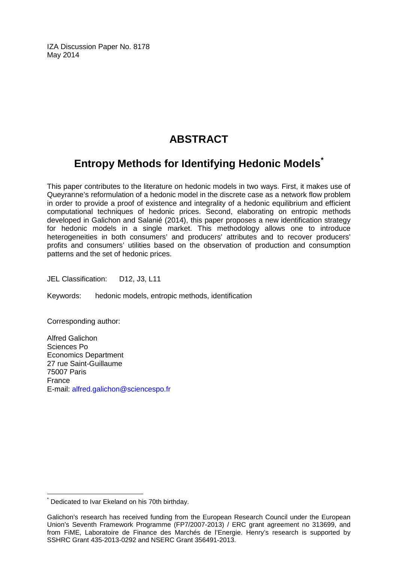IZA Discussion Paper No. 8178 May 2014

# **ABSTRACT**

# **Entropy Methods for Identifying Hedonic Models[\\*](#page-1-0)**

This paper contributes to the literature on hedonic models in two ways. First, it makes use of Queyranne's reformulation of a hedonic model in the discrete case as a network flow problem in order to provide a proof of existence and integrality of a hedonic equilibrium and efficient computational techniques of hedonic prices. Second, elaborating on entropic methods developed in Galichon and Salanié (2014), this paper proposes a new identification strategy for hedonic models in a single market. This methodology allows one to introduce heterogeneities in both consumers' and producers' attributes and to recover producers' profits and consumers' utilities based on the observation of production and consumption patterns and the set of hedonic prices.

JEL Classification: D12, J3, L11

Keywords: hedonic models, entropic methods, identification

Corresponding author:

Alfred Galichon Sciences Po Economics Department 27 rue Saint-Guillaume 75007 Paris France E-mail: [alfred.galichon@sciencespo.fr](mailto:alfred.galichon@sciencespo.fr)

Dedicated to Ivar Ekeland on his 70th birthday.

Galichon's research has received funding from the European Research Council under the European Union's Seventh Framework Programme (FP7/2007-2013) / ERC grant agreement no 313699, and from FiME, Laboratoire de Finance des Marchés de l'Energie. Henry's research is supported by SSHRC Grant 435-2013-0292 and NSERC Grant 356491-2013.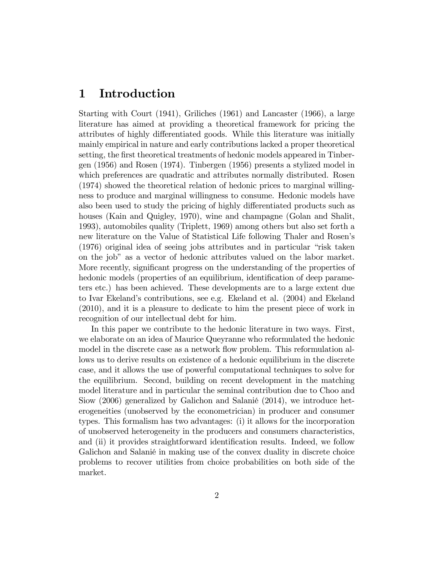### 1 Introduction

Starting with Court (1941), Griliches (1961) and Lancaster (1966), a large literature has aimed at providing a theoretical framework for pricing the attributes of highly differentiated goods. While this literature was initially mainly empirical in nature and early contributions lacked a proper theoretical setting, the first theoretical treatments of hedonic models appeared in Tinbergen (1956) and Rosen (1974). Tinbergen (1956) presents a stylized model in which preferences are quadratic and attributes normally distributed. Rosen (1974) showed the theoretical relation of hedonic prices to marginal willingness to produce and marginal willingness to consume. Hedonic models have also been used to study the pricing of highly differentiated products such as houses (Kain and Quigley, 1970), wine and champagne (Golan and Shalit, 1993), automobiles quality (Triplett, 1969) among others but also set forth a new literature on the Value of Statistical Life following Thaler and Rosenís  $(1976)$  original idea of seeing jobs attributes and in particular "risk taken on the job" as a vector of hedonic attributes valued on the labor market. More recently, significant progress on the understanding of the properties of hedonic models (properties of an equilibrium, identification of deep parameters etc.) has been achieved. These developments are to a large extent due to Ivar Ekelandís contributions, see e.g. Ekeland et al. (2004) and Ekeland (2010), and it is a pleasure to dedicate to him the present piece of work in recognition of our intellectual debt for him.

In this paper we contribute to the hedonic literature in two ways. First, we elaborate on an idea of Maurice Queyranne who reformulated the hedonic model in the discrete case as a network flow problem. This reformulation allows us to derive results on existence of a hedonic equilibrium in the discrete case, and it allows the use of powerful computational techniques to solve for the equilibrium. Second, building on recent development in the matching model literature and in particular the seminal contribution due to Choo and Siow (2006) generalized by Galichon and Salanié (2014), we introduce heterogeneities (unobserved by the econometrician) in producer and consumer types. This formalism has two advantages: (i) it allows for the incorporation of unobserved heterogeneity in the producers and consumers characteristics, and (ii) it provides straightforward identification results. Indeed, we follow Galichon and Salanié in making use of the convex duality in discrete choice problems to recover utilities from choice probabilities on both side of the market.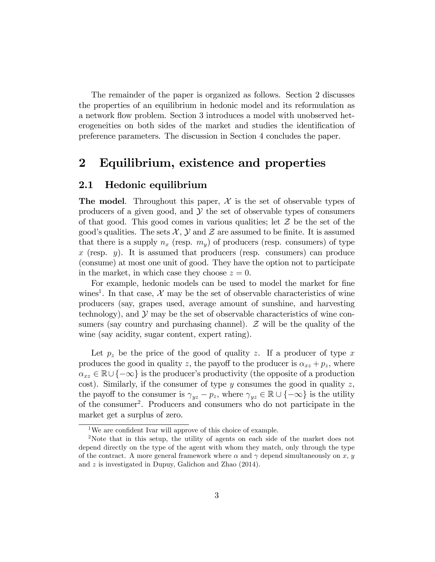The remainder of the paper is organized as follows. Section 2 discusses the properties of an equilibrium in hedonic model and its reformulation as a network áow problem. Section 3 introduces a model with unobserved heterogeneities on both sides of the market and studies the identification of preference parameters. The discussion in Section 4 concludes the paper.

## 2 Equilibrium, existence and properties

#### 2.1 Hedonic equilibrium

**The model.** Throughout this paper,  $\mathcal{X}$  is the set of observable types of producers of a given good, and  $\mathcal Y$  the set of observable types of consumers of that good. This good comes in various qualities; let  $\mathcal Z$  be the set of the good's qualities. The sets  $\mathcal{X}, \mathcal{Y}$  and  $\mathcal{Z}$  are assumed to be finite. It is assumed that there is a supply  $n_x$  (resp.  $m_y$ ) of producers (resp. consumers) of type x (resp.  $y$ ). It is assumed that producers (resp. consumers) can produce (consume) at most one unit of good. They have the option not to participate in the market, in which case they choose  $z = 0$ .

For example, hedonic models can be used to model the market for fine wines<sup>1</sup>. In that case,  $\mathcal{X}$  may be the set of observable characteristics of wine producers (say, grapes used, average amount of sunshine, and harvesting technology), and  $\mathcal Y$  may be the set of observable characteristics of wine consumers (say country and purchasing channel).  $\mathcal Z$  will be the quality of the wine (say acidity, sugar content, expert rating).

Let  $p_z$  be the price of the good of quality z. If a producer of type x produces the good in quality z, the payoff to the producer is  $\alpha_{xz} + p_z$ , where  $\alpha_{xz} \in \mathbb{R} \cup \{-\infty\}$  is the producer's productivity (the opposite of a production cost). Similarly, if the consumer of type y consumes the good in quality  $z$ , the payoff to the consumer is  $\gamma_{yz} - p_z$ , where  $\gamma_{yz} \in \mathbb{R} \cup \{-\infty\}$  is the utility of the consumer<sup>2</sup>. Producers and consumers who do not participate in the market get a surplus of zero.

<sup>&</sup>lt;sup>1</sup>We are confident Ivar will approve of this choice of example.

<sup>2</sup>Note that in this setup, the utility of agents on each side of the market does not depend directly on the type of the agent with whom they match, only through the type of the contract. A more general framework where  $\alpha$  and  $\gamma$  depend simultaneously on x, y and z is investigated in Dupuy, Galichon and Zhao (2014).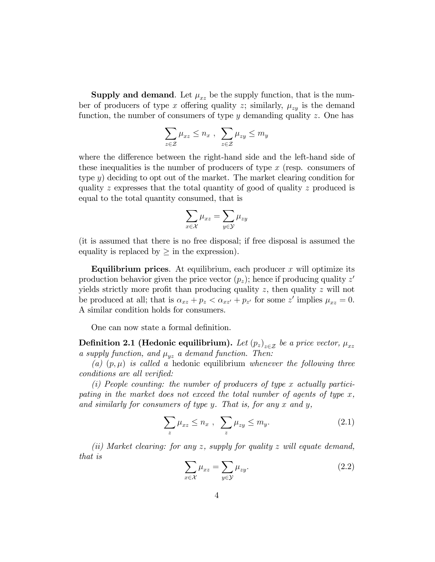**Supply and demand.** Let  $\mu_{xz}$  be the supply function, that is the number of producers of type x offering quality z; similarly,  $\mu_{zy}$  is the demand function, the number of consumers of type  $y$  demanding quality  $z$ . One has

$$
\sum_{z \in \mathcal{Z}} \mu_{xz} \le n_x , \sum_{z \in \mathcal{Z}} \mu_{zy} \le m_y
$$

where the difference between the right-hand side and the left-hand side of these inequalities is the number of producers of type  $x$  (resp. consumers of type y) deciding to opt out of the market. The market clearing condition for quality z expresses that the total quantity of good of quality z produced is equal to the total quantity consumed, that is

$$
\sum_{x\in\mathcal{X}}\mu_{xz}=\sum_{y\in\mathcal{Y}}\mu_{zy}
$$

(it is assumed that there is no free disposal; if free disposal is assumed the equality is replaced by  $\geq$  in the expression).

**Equilibrium prices.** At equilibrium, each producer  $x$  will optimize its production behavior given the price vector  $(p_z)$ ; hence if producing quality  $z'$ yields strictly more profit than producing quality  $z$ , then quality  $z$  will not be produced at all; that is  $\alpha_{xz} + p_z < \alpha_{xz'} + p_{z'}$  for some z' implies  $\mu_{xz} = 0$ . A similar condition holds for consumers.

One can now state a formal definition.

**Definition 2.1 (Hedonic equilibrium).** Let  $(p_z)_{z \in \mathcal{Z}}$  be a price vector,  $\mu_{xz}$ a supply function, and  $\mu_{yz}$  a demand function. Then:

(a)  $(p, \mu)$  is called a hedonic equilibrium whenever the following three conditions are all verified:

(i) People counting: the number of producers of type x actually participating in the market does not exceed the total number of agents of type  $x$ , and similarly for consumers of type  $y$ . That is, for any  $x$  and  $y$ ,

$$
\sum_{z} \mu_{xz} \le n_x , \sum_{z} \mu_{zy} \le m_y. \tag{2.1}
$$

(ii) Market clearing: for any z, supply for quality z will equate demand, that is

$$
\sum_{x \in \mathcal{X}} \mu_{xz} = \sum_{y \in \mathcal{Y}} \mu_{zy}.
$$
\n(2.2)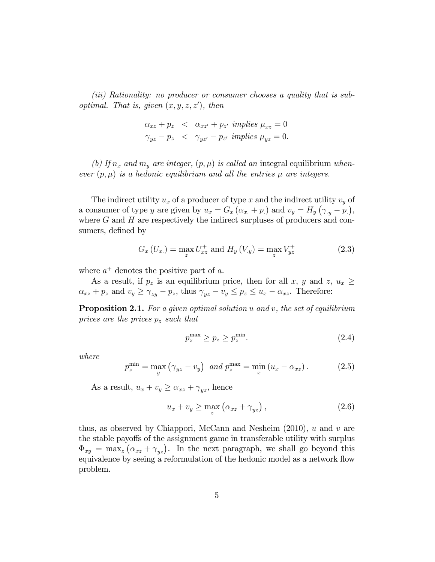(iii) Rationality: no producer or consumer chooses a quality that is suboptimal. That is, given  $(x, y, z, z')$ , then

$$
\alpha_{xz} + p_z < \alpha_{xz'} + p_{z'} \implies \mu_{xz} = 0
$$
\n
$$
\gamma_{yz} - p_z < \gamma_{yz'} - p_{z'} \implies \mu_{yz} = 0.
$$

(b) If  $n_x$  and  $m_y$  are integer,  $(p, \mu)$  is called an integral equilibrium whenever  $(p, \mu)$  is a hedonic equilibrium and all the entries  $\mu$  are integers.

The indirect utility  $u_x$  of a producer of type x and the indirect utility  $v_y$  of a consumer of type y are given by  $u_x = G_x (\alpha_x + p_x)$  and  $v_y = H_y (\gamma_y - p_x)$ , where  $G$  and  $H$  are respectively the indirect surpluses of producers and consumers, defined by

$$
G_x(U_{x.}) = \max_{z} U_{xz}^+ \text{ and } H_y(V_{.y}) = \max_{z} V_{yz}^+ \tag{2.3}
$$

where  $a^+$  denotes the positive part of a.

As a result, if  $p_z$  is an equilibrium price, then for all x, y and z,  $u_x \ge$  $\alpha_{xz} + p_z$  and  $v_y \ge \gamma_{zy} - p_z$ , thus  $\gamma_{yz} - v_y \le p_z \le u_x - \alpha_{xz}$ . Therefore:

**Proposition 2.1.** For a given optimal solution u and v, the set of equilibrium prices are the prices  $p_z$  such that

$$
p_z^{\max} \ge p_z \ge p_z^{\min}.\tag{2.4}
$$

where

$$
p_z^{\min} = \max_{y} (\gamma_{yz} - v_y) \quad and \quad p_z^{\max} = \min_{x} (u_x - \alpha_{xz}). \tag{2.5}
$$

As a result,  $u_x + v_y \ge \alpha_{xz} + \gamma_{yz}$ , hence

$$
u_x + v_y \ge \max_z \left( \alpha_{xz} + \gamma_{yz} \right), \tag{2.6}
$$

thus, as observed by Chiappori, McCann and Nesheim  $(2010)$ , u and v are the stable payoffs of the assignment game in transferable utility with surplus  $\Phi_{xy} = \max_z (\alpha_{xz} + \gamma_{yz})$ . In the next paragraph, we shall go beyond this equivalence by seeing a reformulation of the hedonic model as a network flow problem.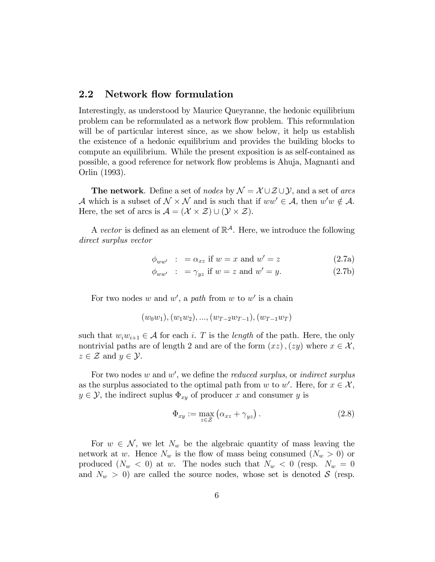#### 2.2 Network flow formulation

Interestingly, as understood by Maurice Queyranne, the hedonic equilibrium problem can be reformulated as a network áow problem. This reformulation will be of particular interest since, as we show below, it help us establish the existence of a hedonic equilibrium and provides the building blocks to compute an equilibrium. While the present exposition is as self-contained as possible, a good reference for network áow problems is Ahuja, Magnanti and Orlin (1993).

**The network**. Define a set of *nodes* by  $\mathcal{N} = \mathcal{X} \cup \mathcal{Z} \cup \mathcal{Y}$ , and a set of *arcs* A which is a subset of  $\mathcal{N} \times \mathcal{N}$  and is such that if  $ww' \in \mathcal{A}$ , then  $w'w \notin \mathcal{A}$ . Here, the set of arcs is  $\mathcal{A} = (\mathcal{X} \times \mathcal{Z}) \cup (\mathcal{Y} \times \mathcal{Z})$ .

A vector is defined as an element of  $\mathbb{R}^{\mathcal{A}}$ . Here, we introduce the following direct surplus vector

$$
\phi_{ww'} \quad : \quad = \alpha_{xz} \text{ if } w = x \text{ and } w' = z \tag{2.7a}
$$

$$
\phi_{ww'} \quad : \quad = \gamma_{yz} \text{ if } w = z \text{ and } w' = y. \tag{2.7b}
$$

For two nodes  $w$  and  $w'$ , a path from  $w$  to  $w'$  is a chain

$$
(w_0w_1), (w_1w_2), ..., (w_{T-2}w_{T-1}), (w_{T-1}w_T)
$$

such that  $w_iw_{i+1} \in \mathcal{A}$  for each i. T is the length of the path. Here, the only nontrivial paths are of length 2 and are of the form  $(xz)$ ,  $(zy)$  where  $x \in \mathcal{X}$ ,  $z \in \mathcal{Z}$  and  $y \in \mathcal{Y}$ .

For two nodes  $w$  and  $w'$ , we define the *reduced surplus*, or *indirect surplus* as the surplus associated to the optimal path from w to w'. Here, for  $x \in \mathcal{X}$ ,  $y \in \mathcal{Y}$ , the indirect suplus  $\Phi_{xy}$  of producer x and consumer y is

$$
\Phi_{xy} := \max_{z \in \mathcal{Z}} \left( \alpha_{xz} + \gamma_{yz} \right). \tag{2.8}
$$

For  $w \in \mathcal{N}$ , we let  $N_w$  be the algebraic quantity of mass leaving the network at w. Hence  $N_w$  is the flow of mass being consumed  $(N_w > 0)$  or produced  $(N_w < 0)$  at w. The nodes such that  $N_w < 0$  (resp.  $N_w = 0$ ) and  $N_w > 0$ ) are called the source nodes, whose set is denoted S (resp.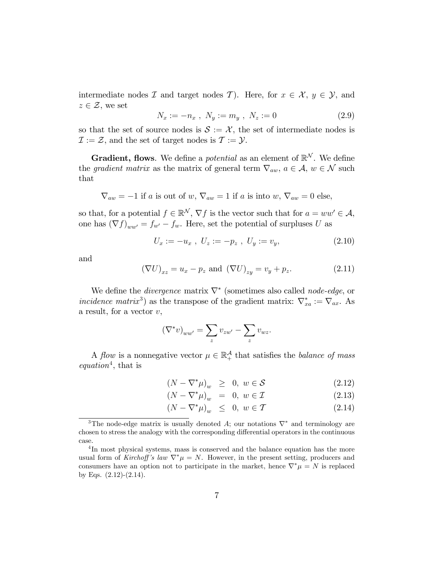intermediate nodes  $\mathcal I$  and target nodes  $\mathcal I$ ). Here, for  $x \in \mathcal X$ ,  $y \in \mathcal Y$ , and  $z \in \mathcal{Z}$ , we set

$$
N_x := -n_x \ , \ N_y := m_y \ , \ N_z := 0 \tag{2.9}
$$

so that the set of source nodes is  $\mathcal{S} := \mathcal{X}$ , the set of intermediate nodes is  $\mathcal{I} := \mathcal{Z}$ , and the set of target nodes is  $\mathcal{T} := \mathcal{Y}$ .

**Gradient, flows**. We define a *potential* as an element of  $\mathbb{R}^N$ . We define the *gradient matrix* as the matrix of general term  $\nabla_{aw}$ ,  $a \in \mathcal{A}$ ,  $w \in \mathcal{N}$  such that

$$
\nabla_{aw} = -1
$$
 if a is out of w,  $\nabla_{aw} = 1$  if a is into w,  $\nabla_{aw} = 0$  else,

so that, for a potential  $f \in \mathbb{R}^N$ ,  $\nabla f$  is the vector such that for  $a = ww' \in \mathcal{A}$ , one has  $(\nabla f)_{ww'} = f_{w'} - f_w$ . Here, set the potential of surpluses U as

$$
U_x := -u_x \ , \ U_z := -p_z \ , \ U_y := v_y, \tag{2.10}
$$

and

$$
(\nabla U)_{xz} = u_x - p_z
$$
 and  $(\nabla U)_{zy} = v_y + p_z.$  (2.11)

We define the *divergence* matrix  $\nabla^*$  (sometimes also called *node-edge*, or incidence matrix<sup>3</sup>) as the transpose of the gradient matrix:  $\nabla_{xa}^* := \nabla_{ax}$ . As a result, for a vector  $v$ ,

$$
(\nabla^* v)_{ww'} = \sum_z v_{zw'} - \sum_z v_{wz}.
$$

A flow is a nonnegative vector  $\mu \in \mathbb{R}^{\mathcal{A}}_+$  that satisfies the balance of mass equation<sup>4</sup>, that is

$$
(N - \nabla^* \mu)_w \geq 0, \ w \in \mathcal{S} \tag{2.12}
$$

$$
(N - \nabla^* \mu)_w = 0, \ w \in \mathcal{I}
$$
\n(2.13)

$$
(N - \nabla^* \mu)_w \leq 0, \ w \in \mathcal{T} \tag{2.14}
$$

<sup>&</sup>lt;sup>3</sup>The node-edge matrix is usually denoted A; our notations  $\nabla^*$  and terminology are chosen to stress the analogy with the corresponding differential operators in the continuous case.

<sup>&</sup>lt;sup>4</sup>In most physical systems, mass is conserved and the balance equation has the more usual form of Kirchoff's law  $\nabla^*\mu = N$ . However, in the present setting, producers and consumers have an option not to participate in the market, hence  $\nabla^*\mu = N$  is replaced by Eqs. (2.12)-(2.14).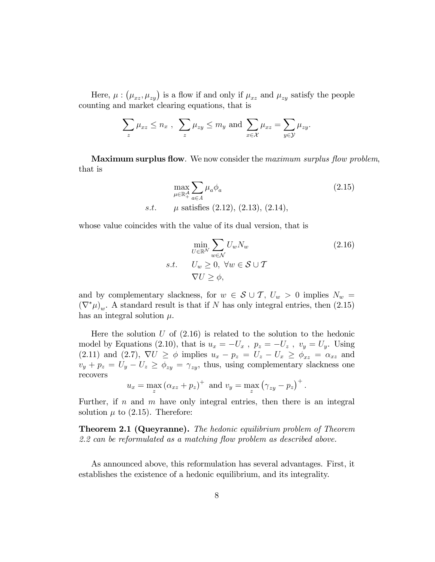Here,  $\mu$ :  $(\mu_{xz}, \mu_{zy})$  is a flow if and only if  $\mu_{xz}$  and  $\mu_{zy}$  satisfy the people counting and market clearing equations, that is

$$
\sum_{z} \mu_{xz} \le n_x , \sum_{z} \mu_{zy} \le m_y \text{ and } \sum_{x \in \mathcal{X}} \mu_{xz} = \sum_{y \in \mathcal{Y}} \mu_{zy}.
$$

**Maximum surplus flow**. We now consider the *maximum surplus flow problem*, that is

$$
\max_{\mu \in \mathbb{R}^A_+} \sum_{a \in A} \mu_a \phi_a
$$
\n*s.t.*  $\mu$  satisfies (2.12), (2.13), (2.14), (2.14)

whose value coincides with the value of its dual version, that is

$$
\min_{U \in \mathbb{R}^N} \sum_{w \in \mathcal{N}} U_w N_w
$$
\n
$$
s.t. \quad U_w \ge 0, \forall w \in \mathcal{S} \cup \mathcal{T}
$$
\n
$$
\nabla U \ge \phi,
$$
\n(2.16)

:

and by complementary slackness, for  $w \in \mathcal{S} \cup \mathcal{T}$ ,  $U_w > 0$  implies  $N_w =$  $(\nabla^*\mu)_w$ . A standard result is that if N has only integral entries, then (2.15) has an integral solution  $\mu$ .

Here the solution  $U$  of  $(2.16)$  is related to the solution to the hedonic model by Equations (2.10), that is  $u_x = -U_x$ ,  $p_z = -U_z$ ,  $v_y = U_y$ . Using (2.11) and (2.7),  $\nabla U \ge \phi$  implies  $u_x - p_z = U_z - U_x \ge \phi_{xz} = \alpha_{xz}$  and  $v_y + p_z = U_y - U_z \ge \phi_{zy} = \gamma_{zy}$ , thus, using complementary slackness one recovers

$$
u_x = \max_z (\alpha_{xz} + p_z)^+ \text{ and } v_y = \max_z (\gamma_{zy} - p_z)^+
$$

Further, if  $n$  and  $m$  have only integral entries, then there is an integral solution  $\mu$  to (2.15). Therefore:

Theorem 2.1 (Queyranne). The hedonic equilibrium problem of Theorem  $2.2$  can be reformulated as a matching flow problem as described above.

As announced above, this reformulation has several advantages. First, it establishes the existence of a hedonic equilibrium, and its integrality.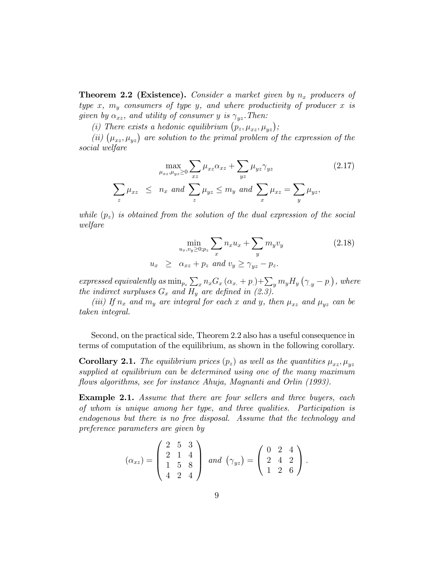**Theorem 2.2 (Existence).** Consider a market given by  $n_x$  producers of type x,  $m_{y}$  consumers of type y, and where productivity of producer x is given by  $\alpha_{xz}$ , and utility of consumer y is  $\gamma_{yz}$ . Then:

(i) There exists a hedonic equilibrium  $(p_z, \mu_{xz}, \mu_{yz})$ ;

(ii)  $(\mu_{xz}, \mu_{yz})$  are solution to the primal problem of the expression of the social welfare

$$
\max_{\mu_{xz}, \mu_{yz} \ge 0} \sum_{xz} \mu_{xz} \alpha_{xz} + \sum_{yz} \mu_{yz} \gamma_{yz}
$$
\n
$$
\sum_{z} \mu_{xz} \le n_x \text{ and } \sum_{z} \mu_{yz} \le m_y \text{ and } \sum_{x} \mu_{xz} = \sum_{y} \mu_{yz},
$$
\n(2.17)

while  $(p_z)$  is obtained from the solution of the dual expression of the social welfare

$$
\min_{u_x, v_y \ge 0; p_z} \sum_x n_x u_x + \sum_y m_y v_y
$$
\n
$$
u_x \ge \alpha_{xz} + p_z \text{ and } v_y \ge \gamma_{yz} - p_z.
$$
\n(2.18)

expressed equivalently as  $\min_{p_z} \sum_x n_x G_x (\alpha_x + p_x) + \sum_y m_y H_y (\gamma_y - p_y)$ , where the indirect surpluses  $G_x$  and  $\overline{H_y}$  are defined in (2.3).

(iii) If  $n_x$  and  $m_y$  are integral for each x and y, then  $\mu_{xz}$  and  $\mu_{yz}$  can be taken integral.

Second, on the practical side, Theorem 2.2 also has a useful consequence in terms of computation of the equilibrium, as shown in the following corollary.

**Corollary 2.1.** The equilibrium prices  $(p_z)$  as well as the quantities  $\mu_{xz}, \mu_{yz}$ supplied at equilibrium can be determined using one of the many maximum flows algorithms, see for instance Ahuja, Magnanti and Orlin (1993).

Example 2.1. Assume that there are four sellers and three buyers, each of whom is unique among her type, and three qualities. Participation is endogenous but there is no free disposal. Assume that the technology and preference parameters are given by

$$
(\alpha_{xz}) = \begin{pmatrix} 2 & 5 & 3 \\ 2 & 1 & 4 \\ 1 & 5 & 8 \\ 4 & 2 & 4 \end{pmatrix} \text{ and } (\gamma_{yz}) = \begin{pmatrix} 0 & 2 & 4 \\ 2 & 4 & 2 \\ 1 & 2 & 6 \end{pmatrix}.
$$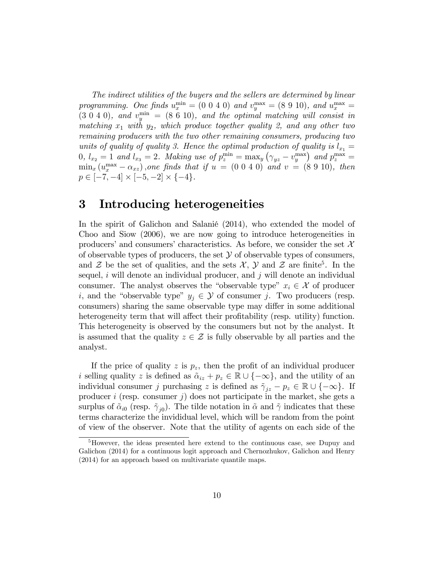The indirect utilities of the buyers and the sellers are determined by linear programming. One finds  $u_x^{\min} = (0\ 0\ 4\ 0)$  and  $v_y^{\max} = (8\ 9\ 10)$ , and  $u_x^{\max} =$  $(3\ 0\ 4\ 0)$ , and  $v_y^{\min} = (8\ 6\ 10)$ , and the optimal matching will consist in matching  $x_1$  with  $y_2$ , which produce together quality 2, and any other two remaining producers with the two other remaining consumers, producing two units of quality of quality 3. Hence the optimal production of quality is  $l_{x_1} =$  $0, l_{x_2} = 1$  and  $l_{x_3} = 2$ . Making use of  $p_z^{\min} = \max_y (\gamma_{yz} - v_y^{\max})$  and  $p_z^{\max} =$  $\min_x (u_x^{\max} - \alpha_{xz}),$  one finds that if  $u = (0\ 0\ 4\ 0)$  and  $v = (8\ 9\ 10),$  then  $p \in [-7, -4] \times [-5, -2] \times \{-4\}.$ 

## 3 Introducing heterogeneities

In the spirit of Galichon and Salanie (2014), who extended the model of Choo and Siow (2006), we are now going to introduce heterogeneities in producers' and consumers' characteristics. As before, we consider the set  $\mathcal{X}$ of observable types of producers, the set  $\mathcal Y$  of observable types of consumers, and  $\mathcal Z$  be the set of qualities, and the sets  $\mathcal X, \mathcal Y$  and  $\mathcal Z$  are finite<sup>5</sup>. In the sequel, i will denote an individual producer, and j will denote an individual consumer. The analyst observes the "observable type"  $x_i \in \mathcal{X}$  of producer i, and the "observable type"  $y_i \in \mathcal{Y}$  of consumer j. Two producers (resp. consumers) sharing the same observable type may differ in some additional heterogeneity term that will affect their profitability (resp. utility) function. This heterogeneity is observed by the consumers but not by the analyst. It is assumed that the quality  $z \in \mathcal{Z}$  is fully observable by all parties and the analyst.

If the price of quality z is  $p_z$ , then the profit of an individual producer i selling quality z is defined as  $\tilde{\alpha}_{iz} + p_z \in \mathbb{R} \cup \{-\infty\}$ , and the utility of an individual consumer j purchasing z is defined as  $\tilde{\gamma}_{jz} - p_z \in \mathbb{R} \cup \{-\infty\}$ . If producer i (resp. consumer  $j$ ) does not participate in the market, she gets a surplus of  $\tilde{\alpha}_{i0}$  (resp.  $\tilde{\gamma}_{j0}$ ). The tilde notation in  $\tilde{\alpha}$  and  $\tilde{\gamma}$  indicates that these terms characterize the invididual level, which will be random from the point of view of the observer. Note that the utility of agents on each side of the

<sup>&</sup>lt;sup>5</sup>However, the ideas presented here extend to the continuous case, see Dupuy and Galichon (2014) for a continuous logit approach and Chernozhukov, Galichon and Henry (2014) for an approach based on multivariate quantile maps.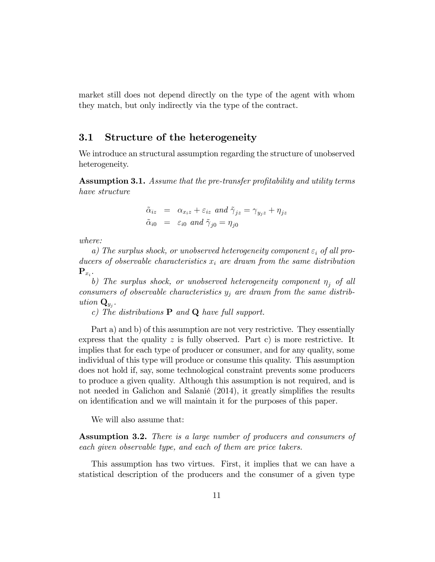market still does not depend directly on the type of the agent with whom they match, but only indirectly via the type of the contract.

#### 3.1 Structure of the heterogeneity

We introduce an structural assumption regarding the structure of unobserved heterogeneity.

**Assumption 3.1.** Assume that the pre-transfer profitability and utility terms have structure

$$
\begin{array}{rcl}\n\tilde{\alpha}_{iz} & = & \alpha_{x_iz} + \varepsilon_{iz} \text{ and } \tilde{\gamma}_{jz} = \gamma_{y_jz} + \eta_{jz} \\
\tilde{\alpha}_{i0} & = & \varepsilon_{i0} \text{ and } \tilde{\gamma}_{j0} = \eta_{j0}\n\end{array}
$$

where:

a) The surplus shock, or unobserved heterogeneity component  $\varepsilon_i$  of all producers of observable characteristics  $x_i$  are drawn from the same distribution  $\mathbf{P}_{x_i}.$ 

b) The surplus shock, or unobserved heterogeneity component  $\eta_j$  of all consumers of observable characteristics  $y_j$  are drawn from the same distribution  $\mathbf{Q}_{y_j}$ .

c) The distributions  $P$  and  $Q$  have full support.

Part a) and b) of this assumption are not very restrictive. They essentially express that the quality  $z$  is fully observed. Part c) is more restrictive. It implies that for each type of producer or consumer, and for any quality, some individual of this type will produce or consume this quality. This assumption does not hold if, say, some technological constraint prevents some producers to produce a given quality. Although this assumption is not required, and is not needed in Galichon and Salanié  $(2014)$ , it greatly simplifies the results on identification and we will maintain it for the purposes of this paper.

We will also assume that:

Assumption 3.2. There is a large number of producers and consumers of each given observable type, and each of them are price takers.

This assumption has two virtues. First, it implies that we can have a statistical description of the producers and the consumer of a given type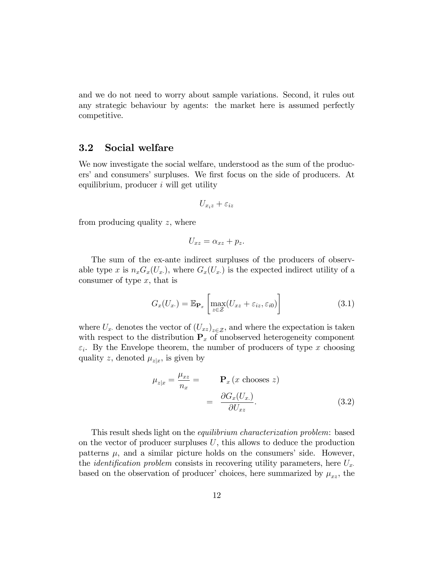and we do not need to worry about sample variations. Second, it rules out any strategic behaviour by agents: the market here is assumed perfectly competitive.

#### 3.2 Social welfare

We now investigate the social welfare, understood as the sum of the producers' and consumers' surpluses. We first focus on the side of producers. At equilibrium, producer  $i$  will get utility

$$
U_{x_iz} + \varepsilon_{iz}
$$

from producing quality  $z$ , where

$$
U_{xz} = \alpha_{xz} + p_z.
$$

The sum of the ex-ante indirect surpluses of the producers of observable type x is  $n_x G_x(U_x)$ , where  $G_x(U_x)$  is the expected indirect utility of a consumer of type  $x$ , that is

$$
G_x(U_x) = \mathbb{E}_{\mathbf{P}_x} \left[ \max_{z \in \mathcal{Z}} (U_{xz} + \varepsilon_{iz}, \varepsilon_{i0}) \right]
$$
(3.1)

where  $U_x$  denotes the vector of  $(U_{xz})_{z \in \mathcal{Z}}$ , and where the expectation is taken with respect to the distribution  $P_x$  of unobserved heterogeneity component  $\varepsilon_i$ . By the Envelope theorem, the number of producers of type x choosing quality z, denoted  $\mu_{z|x}$ , is given by

$$
\mu_{z|x} = \frac{\mu_{xz}}{n_x} = \mathbf{P}_x \left( x \text{ chooses } z \right)
$$

$$
= \frac{\partial G_x(U_{x.})}{\partial U_{xz}}.
$$
(3.2)

This result sheds light on the equilibrium characterization problem: based on the vector of producer surpluses  $U$ , this allows to deduce the production patterns  $\mu$ , and a similar picture holds on the consumers' side. However, the *identification problem* consists in recovering utility parameters, here  $U_x$ . based on the observation of producer' choices, here summarized by  $\mu_{xz}$ , the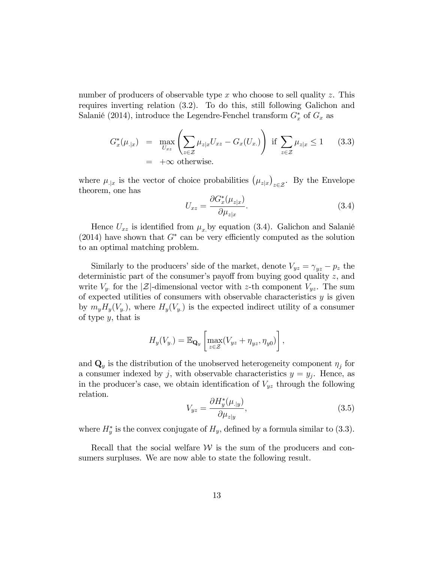number of producers of observable type x who choose to sell quality z. This requires inverting relation (3.2). To do this, still following Galichon and Salanié (2014), introduce the Legendre-Fenchel transform  $G_x^*$  of  $G_x$  as

$$
G_x^*(\mu_{\cdot|x}) = \max_{U_{xz}} \left( \sum_{z \in \mathcal{Z}} \mu_{z|x} U_{xz} - G_x(U_{x.}) \right) \text{ if } \sum_{z \in \mathcal{Z}} \mu_{z|x} \le 1 \qquad (3.3)
$$
  
= +\infty otherwise.

where  $\mu_{\vert x}$  is the vector of choice probabilities  $(\mu_{z|x})_{z\in\mathcal{Z}}$ . By the Envelope theorem, one has

$$
U_{xz} = \frac{\partial G_x^*(\mu_{z|x})}{\partial \mu_{z|x}}.\tag{3.4}
$$

Hence  $U_{xz}$  is identified from  $\mu_x$  by equation (3.4). Galichon and Salanié  $(2014)$  have shown that  $G^*$  can be very efficiently computed as the solution to an optimal matching problem.

Similarly to the producers' side of the market, denote  $V_{yz} = \gamma_{yz} - p_z$  the deterministic part of the consumer's payoff from buying good quality  $z$ , and write  $V_y$  for the  $|\mathcal{Z}|$ -dimensional vector with z-th component  $V_{yz}$ . The sum of expected utilities of consumers with observable characteristics  $y$  is given by  $m_yH_y(V_y)$ , where  $H_y(V_y)$  is the expected indirect utility of a consumer of type  $y$ , that is

$$
H_y(V_{y.}) = \mathbb{E}_{\mathbf{Q}_y} \left[ \max_{z \in \mathcal{Z}} (V_{yz} + \eta_{yz}, \eta_{y0}) \right],
$$

and  $\mathbf{Q}_y$  is the distribution of the unobserved heterogeneity component  $\eta_j$  for a consumer indexed by j, with observable characteristics  $y = y_j$ . Hence, as in the producer's case, we obtain identification of  $V_{yz}$  through the following relation.  $\alpha$  + +  $\alpha$  /

$$
V_{yz} = \frac{\partial H_y^*(\mu_{.|y})}{\partial \mu_{z|y}},\tag{3.5}
$$

where  $H_y^*$  is the convex conjugate of  $H_y$ , defined by a formula similar to (3.3).

Recall that the social welfare  $W$  is the sum of the producers and consumers surpluses. We are now able to state the following result.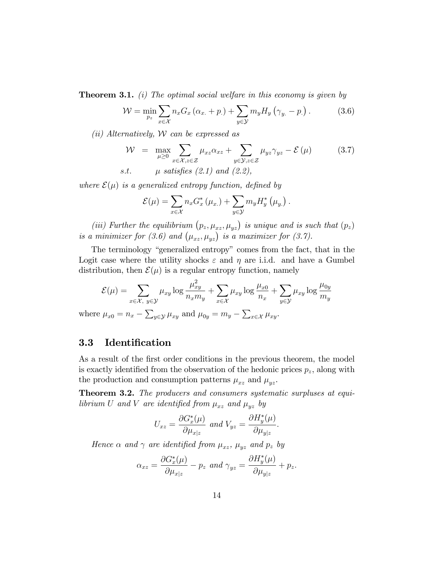**Theorem 3.1.** (i) The optimal social welfare in this economy is given by

$$
\mathcal{W} = \min_{p_z} \sum_{x \in \mathcal{X}} n_x G_x \left( \alpha_x + p_{\cdot} \right) + \sum_{y \in \mathcal{Y}} m_y H_y \left( \gamma_y - p_{\cdot} \right). \tag{3.6}
$$

(ii) Alternatively,  $W$  can be expressed as

$$
\mathcal{W} = \max_{\mu \ge 0} \sum_{x \in \mathcal{X}, z \in \mathcal{Z}} \mu_{xz} \alpha_{xz} + \sum_{y \in \mathcal{Y}, z \in \mathcal{Z}} \mu_{yz} \gamma_{yz} - \mathcal{E}(\mu) \tag{3.7}
$$
  
s.t.  $\mu$  satisfies (2.1) and (2.2),

where  $\mathcal{E}(\mu)$  is a generalized entropy function, defined by

$$
\mathcal{E}(\mu) = \sum_{x \in \mathcal{X}} n_x G_x^* (\mu_x) + \sum_{y \in \mathcal{Y}} m_y H_y^* (\mu_y).
$$

(iii) Further the equilibrium  $(p_z, \mu_{xz}, \mu_{yz})$  is unique and is such that  $(p_z)$ is a minimizer for (3.6) and  $(\mu_{xz}, \mu_{yz})$  is a maximizer for (3.7).

The terminology "generalized entropy" comes from the fact, that in the Logit case where the utility shocks  $\varepsilon$  and  $\eta$  are i.i.d. and have a Gumbel distribution, then  $\mathcal{E}(\mu)$  is a regular entropy function, namely

$$
\mathcal{E}(\mu) = \sum_{x \in \mathcal{X}, y \in \mathcal{Y}} \mu_{xy} \log \frac{\mu_{xy}^2}{n_x m_y} + \sum_{x \in \mathcal{X}} \mu_{xy} \log \frac{\mu_{x0}}{n_x} + \sum_{y \in \mathcal{Y}} \mu_{xy} \log \frac{\mu_{0y}}{m_y}
$$

where  $\mu_{x0} = n_x - \sum_{y \in \mathcal{Y}} \mu_{xy}$  and  $\mu_{0y} = m_y - \sum_{x \in \mathcal{X}} \mu_{xy}$ .

#### 3.3 Identification

As a result of the first order conditions in the previous theorem, the model is exactly identified from the observation of the hedonic prices  $p_z$ , along with the production and consumption patterns  $\mu_{xz}$  and  $\mu_{yz}$ .

Theorem 3.2. The producers and consumers systematic surpluses at equilibrium U and V are identified from  $\mu_{xz}$  and  $\mu_{yz}$  by

$$
U_{xz} = \frac{\partial G_x^*(\mu)}{\partial \mu_{x|z}} \text{ and } V_{yz} = \frac{\partial H_y^*(\mu)}{\partial \mu_{y|z}}.
$$

Hence  $\alpha$  and  $\gamma$  are identified from  $\mu_{xz}$ ,  $\mu_{yz}$  and  $p_z$  by

$$
\alpha_{xz} = \frac{\partial G_x^*(\mu)}{\partial \mu_{x|z}} - p_z \text{ and } \gamma_{yz} = \frac{\partial H_y^*(\mu)}{\partial \mu_{y|z}} + p_z.
$$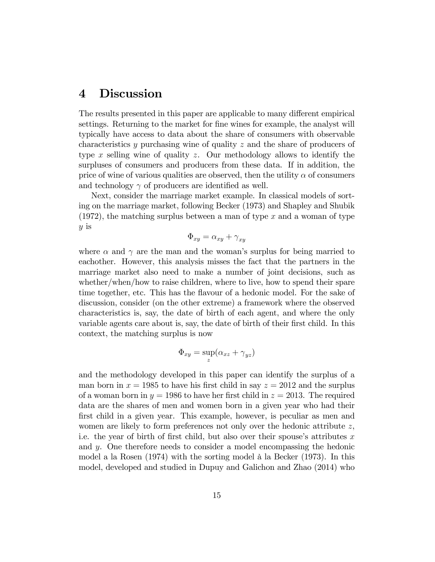### 4 Discussion

The results presented in this paper are applicable to many different empirical settings. Returning to the market for fine wines for example, the analyst will typically have access to data about the share of consumers with observable characteristics y purchasing wine of quality z and the share of producers of type x selling wine of quality z. Our methodology allows to identify the surpluses of consumers and producers from these data. If in addition, the price of wine of various qualities are observed, then the utility  $\alpha$  of consumers and technology  $\gamma$  of producers are identified as well.

Next, consider the marriage market example. In classical models of sorting on the marriage market, following Becker (1973) and Shapley and Shubik  $(1972)$ , the matching surplus between a man of type x and a woman of type  $y$  is

$$
\Phi_{xy}=\alpha_{xy}+\gamma_{xy}
$$

where  $\alpha$  and  $\gamma$  are the man and the woman's surplus for being married to eachother. However, this analysis misses the fact that the partners in the marriage market also need to make a number of joint decisions, such as whether/when/how to raise children, where to live, how to spend their spare time together, etc. This has the flavour of a hedonic model. For the sake of discussion, consider (on the other extreme) a framework where the observed characteristics is, say, the date of birth of each agent, and where the only variable agents care about is, say, the date of birth of their first child. In this context, the matching surplus is now

$$
\Phi_{xy} = \sup_z (\alpha_{xz} + \gamma_{yz})
$$

and the methodology developed in this paper can identify the surplus of a man born in  $x = 1985$  to have his first child in say  $z = 2012$  and the surplus of a woman born in  $y = 1986$  to have her first child in  $z = 2013$ . The required data are the shares of men and women born in a given year who had their first child in a given year. This example, however, is peculiar as men and women are likely to form preferences not only over the hedonic attribute  $z$ , i.e. the year of birth of first child, but also over their spouse's attributes  $x$ and y. One therefore needs to consider a model encompassing the hedonic model a la Rosen  $(1974)$  with the sorting model à la Becker  $(1973)$ . In this model, developed and studied in Dupuy and Galichon and Zhao (2014) who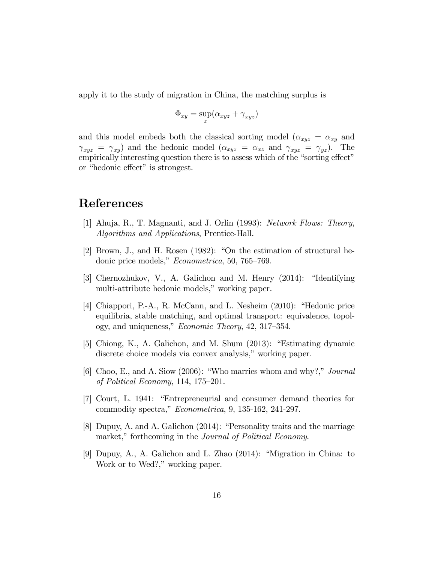apply it to the study of migration in China, the matching surplus is

$$
\Phi_{xy} = \sup_{z} (\alpha_{xyz} + \gamma_{xyz})
$$

and this model embeds both the classical sorting model ( $\alpha_{xyz} = \alpha_{xy}$  and  $\gamma_{xyz} = \gamma_{xy}$  and the hedonic model  $(\alpha_{xyz} = \alpha_{xz} \text{ and } \gamma_{xyz} = \gamma_{yz})$ . The empirically interesting question there is to assess which of the "sorting effect" or "hedonic effect" is strongest.

## References

- [1] Ahuja, R., T. Magnanti, and J. Orlin (1993): Network Flows: Theory, Algorithms and Applications, Prentice-Hall.
- $[2]$  Brown, J., and H. Rosen (1982): "On the estimation of structural hedonic price models,"  $Econometrica$ , 50, 765–769.
- $|3|$  Chernozhukov, V., A. Galichon and M. Henry  $(2014)$ : "Identifying multi-attribute hedonic models," working paper.
- [4] Chiappori, P.-A., R. McCann, and L. Nesheim  $(2010)$ : "Hedonic price equilibria, stable matching, and optimal transport: equivalence, topology, and uniqueness," Economic Theory, 42, 317-354.
- [5] Chiong, K., A. Galichon, and M. Shum  $(2013)$ : "Estimating dynamic discrete choice models via convex analysis," working paper.
- [6] Choo, E., and A. Siow (2006): "Who marries whom and why?," Journal of Political Economy, 114, 175–201.
- [7] Court, L. 1941: "Entrepreneurial and consumer demand theories for commodity spectra," Econometrica, 9, 135-162, 241-297.
- [8] Dupuy, A. and A. Galichon  $(2014)$ : "Personality traits and the marriage market," forthcoming in the Journal of Political Economy.
- [9] Dupuy, A., A. Galichon and L. Zhao  $(2014)$ : "Migration in China: to Work or to Wed?," working paper.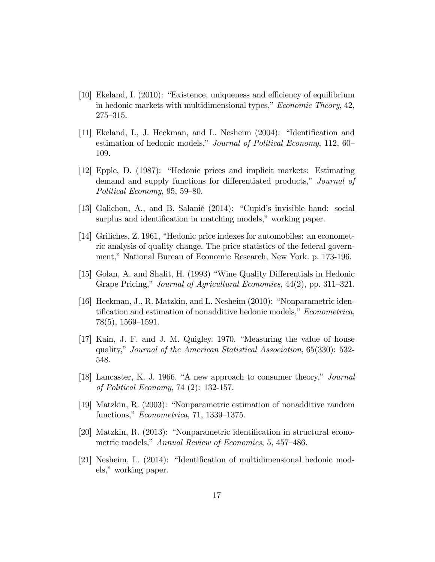- $[10]$  Ekeland, I.  $(2010)$ : "Existence, uniqueness and efficiency of equilibrium in hedonic markets with multidimensional types,"  $Economic Theory$ ,  $42$ ,  $275 - 315.$
- $[11]$  Ekeland, I., J. Heckman, and L. Nesheim  $(2004)$ : "Identification and estimation of hedonic models," Journal of Political Economy, 112,  $60-$ 109.
- [12] Epple, D. (1987): "Hedonic prices and implicit markets: Estimating demand and supply functions for differentiated products," *Journal of* Political Economy, 95, 59–80.
- [13] Galichon, A., and B. Salanié  $(2014)$ : "Cupid's invisible hand: social surplus and identification in matching models," working paper.
- $[14]$  Griliches, Z. 1961, "Hedonic price indexes for automobiles: an econometric analysis of quality change. The price statistics of the federal government," National Bureau of Economic Research, New York. p. 173-196.
- [15] Golan, A. and Shalit, H. (1993) "Wine Quality Differentials in Hedonic Grape Pricing," Journal of Agricultural Economics,  $44(2)$ , pp. 311–321.
- [16] Heckman, J., R. Matzkin, and L. Nesheim  $(2010)$ : "Nonparametric identification and estimation of nonadditive hedonic models," Econometrica,  $78(5)$ , 1569–1591.
- [17] Kain, J. F. and J. M. Quigley. 1970. "Measuring the value of house quality," Journal of the American Statistical Association,  $65(330)$ : 532-548.
- [18] Lancaster, K. J. 1966. "A new approach to consumer theory,"  $Journal$ of Political Economy, 74 (2): 132-157.
- [19] Matzkin, R.  $(2003)$ : "Nonparametric estimation of nonadditive random functions,"  $Econometrica$ , 71, 1339–1375.
- [20] Matzkin, R.  $(2013)$ : "Nonparametric identification in structural econometric models," Annual Review of Economics, 5, 457–486.
- [21] Nesheim, L.  $(2014)$ : "Identification of multidimensional hedonic models," working paper.